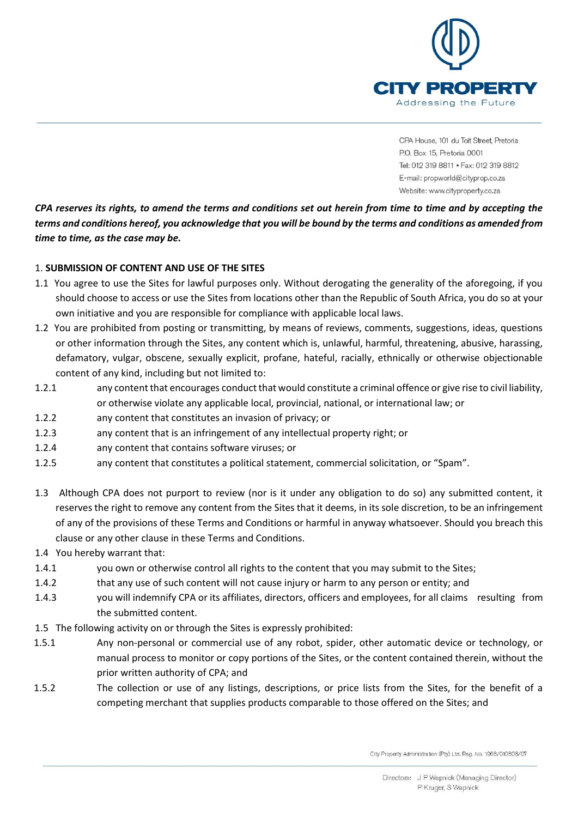

*CPA reserves its rights, to amend the terms and conditions set out herein from time to time and by accepting the terms and conditions hereof, you acknowledge that you will be bound by the terms and conditions as amended from time to time, as the case may be.* 

# 1. **SUBMISSION OF CONTENT AND USE OF THE SITES**

- 1.1 You agree to use the Sites for lawful purposes only. Without derogating the generality of the aforegoing, if you should choose to access or use the Sites from locations other than the Republic of South Africa, you do so at your own initiative and you are responsible for compliance with applicable local laws.
- 1.2 You are prohibited from posting or transmitting, by means of reviews, comments, suggestions, ideas, questions or other information through the Sites, any content which is, unlawful, harmful, threatening, abusive, harassing, defamatory, vulgar, obscene, sexually explicit, profane, hateful, racially, ethnically or otherwise objectionable content of any kind, including but not limited to:
- 1.2.1 any content that encourages conduct that would constitute a criminal offence or give rise to civil liability, or otherwise violate any applicable local, provincial, national, or international law; or
- 1.2.2 any content that constitutes an invasion of privacy; or
- 1.2.3 any content that is an infringement of any intellectual property right; or
- 1.2.4 any content that contains software viruses; or
- 1.2.5 any content that constitutes a political statement, commercial solicitation, or "Spam".
- 1.3 Although CPA does not purport to review (nor is it under any obligation to do so) any submitted content, it reserves the right to remove any content from the Sites that it deems, in its sole discretion, to be an infringement of any of the provisions of these Terms and Conditions or harmful in anyway whatsoever. Should you breach this clause or any other clause in these Terms and Conditions.
- 1.4 You hereby warrant that:
- 1.4.1 you own or otherwise control all rights to the content that you may submit to the Sites;
- 1.4.2 that any use of such content will not cause injury or harm to any person or entity; and
- 1.4.3 you will indemnify CPA or its affiliates, directors, officers and employees, for all claims resulting from the submitted content.
- 1.5 The following activity on or through the Sites is expressly prohibited:
- 1.5.1 Any non-personal or commercial use of any robot, spider, other automatic device or technology, or manual process to monitor or copy portions of the Sites, or the content contained therein, without the prior written authority of CPA; and
- 1.5.2 The collection or use of any listings, descriptions, or price lists from the Sites, for the benefit of a competing merchant that supplies products comparable to those offered on the Sites; and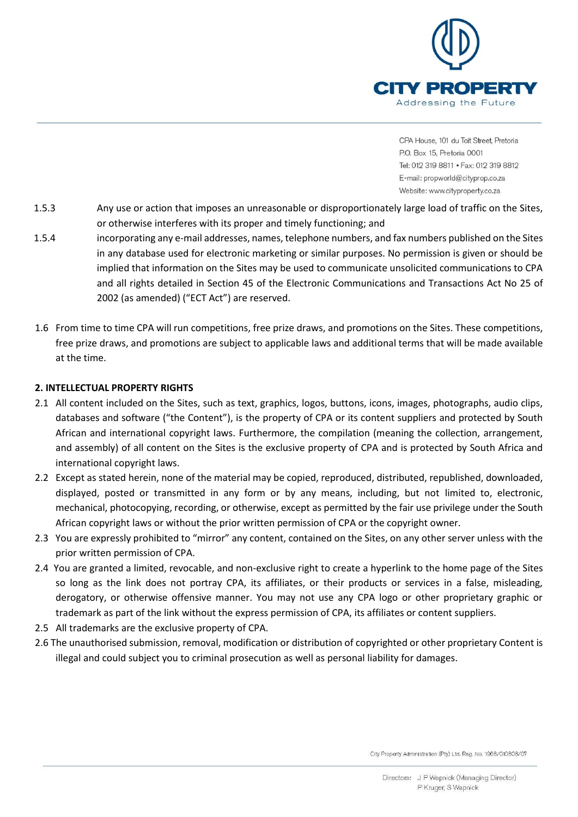

- 1.5.3 Any use or action that imposes an unreasonable or disproportionately large load of traffic on the Sites, or otherwise interferes with its proper and timely functioning; and
- 1.5.4 incorporating any e-mail addresses, names, telephone numbers, and fax numbers published on the Sites in any database used for electronic marketing or similar purposes. No permission is given or should be implied that information on the Sites may be used to communicate unsolicited communications to CPA and all rights detailed in Section 45 of the Electronic Communications and Transactions Act No 25 of 2002 (as amended) ("ECT Act") are reserved.
- 1.6 From time to time CPA will run competitions, free prize draws, and promotions on the Sites. These competitions, free prize draws, and promotions are subject to applicable laws and additional terms that will be made available at the time.

# **2. INTELLECTUAL PROPERTY RIGHTS**

- 2.1 All content included on the Sites, such as text, graphics, logos, buttons, icons, images, photographs, audio clips, databases and software ("the Content"), is the property of CPA or its content suppliers and protected by South African and international copyright laws. Furthermore, the compilation (meaning the collection, arrangement, and assembly) of all content on the Sites is the exclusive property of CPA and is protected by South Africa and international copyright laws.
- 2.2 Except as stated herein, none of the material may be copied, reproduced, distributed, republished, downloaded, displayed, posted or transmitted in any form or by any means, including, but not limited to, electronic, mechanical, photocopying, recording, or otherwise, except as permitted by the fair use privilege under the South African copyright laws or without the prior written permission of CPA or the copyright owner.
- 2.3 You are expressly prohibited to "mirror" any content, contained on the Sites, on any other server unless with the prior written permission of CPA.
- 2.4 You are granted a limited, revocable, and non-exclusive right to create a hyperlink to the home page of the Sites so long as the link does not portray CPA, its affiliates, or their products or services in a false, misleading, derogatory, or otherwise offensive manner. You may not use any CPA logo or other proprietary graphic or trademark as part of the link without the express permission of CPA, its affiliates or content suppliers.
- 2.5 All trademarks are the exclusive property of CPA.
- 2.6 The unauthorised submission, removal, modification or distribution of copyrighted or other proprietary Content is illegal and could subject you to criminal prosecution as well as personal liability for damages.

City Property Administration (Pty) Ltd. Reg. No. 1968/010808/07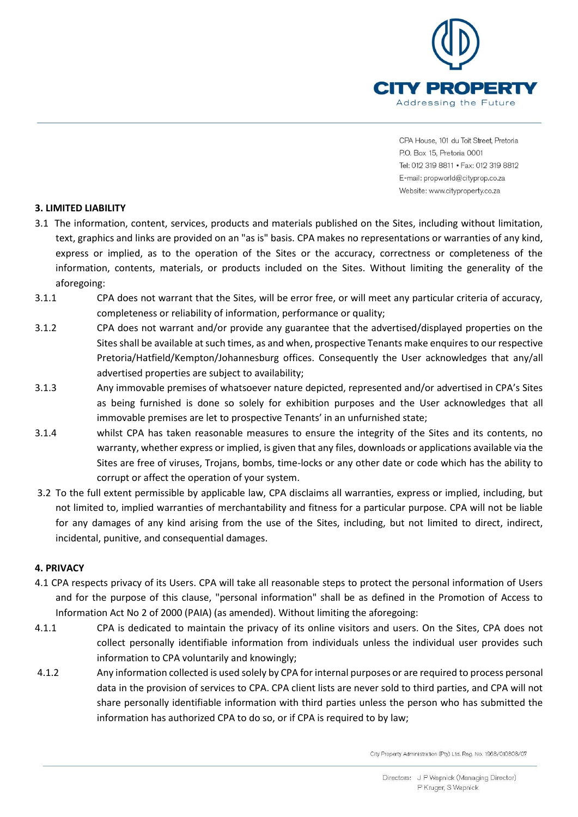

# **3. LIMITED LIABILITY**

- 3.1 The information, content, services, products and materials published on the Sites, including without limitation, text, graphics and links are provided on an "as is" basis. CPA makes no representations or warranties of any kind, express or implied, as to the operation of the Sites or the accuracy, correctness or completeness of the information, contents, materials, or products included on the Sites. Without limiting the generality of the aforegoing:
- 3.1.1 CPA does not warrant that the Sites, will be error free, or will meet any particular criteria of accuracy, completeness or reliability of information, performance or quality;
- 3.1.2 CPA does not warrant and/or provide any guarantee that the advertised/displayed properties on the Sites shall be available at such times, as and when, prospective Tenants make enquires to our respective Pretoria/Hatfield/Kempton/Johannesburg offices. Consequently the User acknowledges that any/all advertised properties are subject to availability;
- 3.1.3 Any immovable premises of whatsoever nature depicted, represented and/or advertised in CPA's Sites as being furnished is done so solely for exhibition purposes and the User acknowledges that all immovable premises are let to prospective Tenants' in an unfurnished state;
- 3.1.4 whilst CPA has taken reasonable measures to ensure the integrity of the Sites and its contents, no warranty, whether express or implied, is given that any files, downloads or applications available via the Sites are free of viruses, Trojans, bombs, time-locks or any other date or code which has the ability to corrupt or affect the operation of your system.
- 3.2 To the full extent permissible by applicable law, CPA disclaims all warranties, express or implied, including, but not limited to, implied warranties of merchantability and fitness for a particular purpose. CPA will not be liable for any damages of any kind arising from the use of the Sites, including, but not limited to direct, indirect, incidental, punitive, and consequential damages.

#### **4. PRIVACY**

- 4.1 CPA respects privacy of its Users. CPA will take all reasonable steps to protect the personal information of Users and for the purpose of this clause, "personal information" shall be as defined in the Promotion of Access to Information Act No 2 of 2000 (PAIA) (as amended). Without limiting the aforegoing:
- 4.1.1 CPA is dedicated to maintain the privacy of its online visitors and users. On the Sites, CPA does not collect personally identifiable information from individuals unless the individual user provides such information to CPA voluntarily and knowingly;
- 4.1.2 Any information collected is used solely by CPA for internal purposes or are required to process personal data in the provision of services to CPA. CPA client lists are never sold to third parties, and CPA will not share personally identifiable information with third parties unless the person who has submitted the information has authorized CPA to do so, or if CPA is required to by law;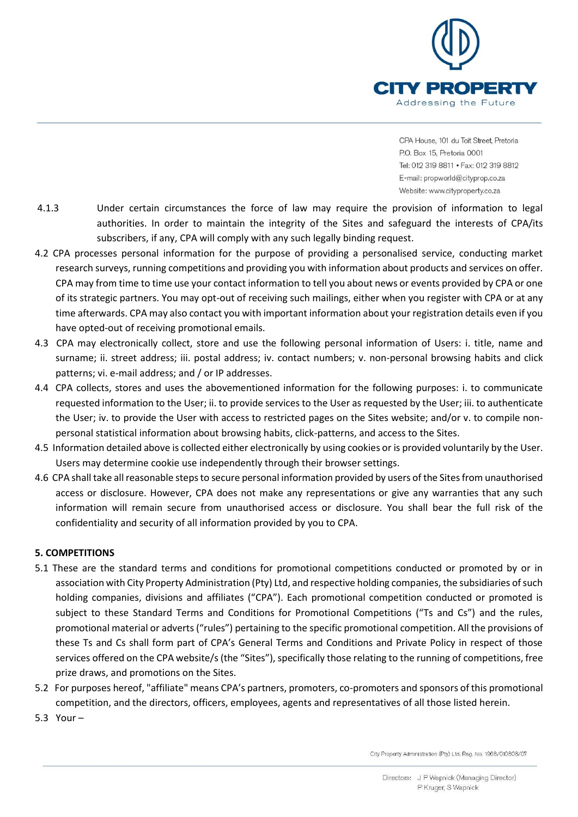

- 4.1.3 Under certain circumstances the force of law may require the provision of information to legal authorities. In order to maintain the integrity of the Sites and safeguard the interests of CPA/its subscribers, if any, CPA will comply with any such legally binding request.
- 4.2 CPA processes personal information for the purpose of providing a personalised service, conducting market research surveys, running competitions and providing you with information about products and services on offer. CPA may from time to time use your contact information to tell you about news or events provided by CPA or one of its strategic partners. You may opt-out of receiving such mailings, either when you register with CPA or at any time afterwards. CPA may also contact you with important information about your registration details even if you have opted-out of receiving promotional emails.
- 4.3 CPA may electronically collect, store and use the following personal information of Users: i. title, name and surname; ii. street address; iii. postal address; iv. contact numbers; v. non-personal browsing habits and click patterns; vi. e-mail address; and / or IP addresses.
- 4.4 CPA collects, stores and uses the abovementioned information for the following purposes: i. to communicate requested information to the User; ii. to provide services to the User as requested by the User; iii. to authenticate the User; iv. to provide the User with access to restricted pages on the Sites website; and/or v. to compile nonpersonal statistical information about browsing habits, click-patterns, and access to the Sites.
- 4.5 Information detailed above is collected either electronically by using cookies or is provided voluntarily by the User. Users may determine cookie use independently through their browser settings.
- 4.6 CPA shall take all reasonable steps to secure personal information provided by users of the Sites from unauthorised access or disclosure. However, CPA does not make any representations or give any warranties that any such information will remain secure from unauthorised access or disclosure. You shall bear the full risk of the confidentiality and security of all information provided by you to CPA.

# **5. COMPETITIONS**

- 5.1 These are the standard terms and conditions for promotional competitions conducted or promoted by or in association with City Property Administration (Pty) Ltd, and respective holding companies, the subsidiaries of such holding companies, divisions and affiliates ("CPA"). Each promotional competition conducted or promoted is subject to these Standard Terms and Conditions for Promotional Competitions ("Ts and Cs") and the rules, promotional material or adverts ("rules") pertaining to the specific promotional competition. All the provisions of these Ts and Cs shall form part of CPA's General Terms and Conditions and Private Policy in respect of those services offered on the CPA website/s (the "Sites"), specifically those relating to the running of competitions, free prize draws, and promotions on the Sites.
- 5.2 For purposes hereof, "affiliate" means CPA's partners, promoters, co-promoters and sponsors of this promotional competition, and the directors, officers, employees, agents and representatives of all those listed herein.
- 5.3 Your –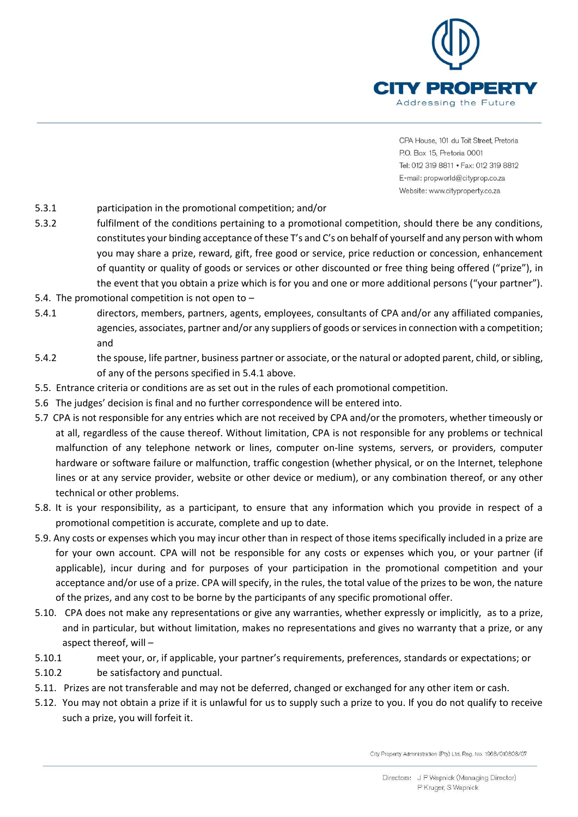

- 5.3.1 participation in the promotional competition; and/or
- 5.3.2 fulfilment of the conditions pertaining to a promotional competition, should there be any conditions, constitutes your binding acceptance of these T's and C's on behalf of yourself and any person with whom you may share a prize, reward, gift, free good or service, price reduction or concession, enhancement of quantity or quality of goods or services or other discounted or free thing being offered ("prize"), in the event that you obtain a prize which is for you and one or more additional persons ("your partner").
- 5.4. The promotional competition is not open to  $-$
- 5.4.1 directors, members, partners, agents, employees, consultants of CPA and/or any affiliated companies, agencies, associates, partner and/or any suppliers of goods or services in connection with a competition; and
- 5.4.2 the spouse, life partner, business partner or associate, or the natural or adopted parent, child, or sibling, of any of the persons specified in 5.4.1 above.
- 5.5. Entrance criteria or conditions are as set out in the rules of each promotional competition.
- 5.6 The judges' decision is final and no further correspondence will be entered into.
- 5.7 CPA is not responsible for any entries which are not received by CPA and/or the promoters, whether timeously or at all, regardless of the cause thereof. Without limitation, CPA is not responsible for any problems or technical malfunction of any telephone network or lines, computer on-line systems, servers, or providers, computer hardware or software failure or malfunction, traffic congestion (whether physical, or on the Internet, telephone lines or at any service provider, website or other device or medium), or any combination thereof, or any other technical or other problems.
- 5.8. It is your responsibility, as a participant, to ensure that any information which you provide in respect of a promotional competition is accurate, complete and up to date.
- 5.9. Any costs or expenses which you may incur other than in respect of those items specifically included in a prize are for your own account. CPA will not be responsible for any costs or expenses which you, or your partner (if applicable), incur during and for purposes of your participation in the promotional competition and your acceptance and/or use of a prize. CPA will specify, in the rules, the total value of the prizes to be won, the nature of the prizes, and any cost to be borne by the participants of any specific promotional offer.
- 5.10. CPA does not make any representations or give any warranties, whether expressly or implicitly, as to a prize, and in particular, but without limitation, makes no representations and gives no warranty that a prize, or any aspect thereof, will –
- 5.10.1 meet your, or, if applicable, your partner's requirements, preferences, standards or expectations; or
- 5.10.2 be satisfactory and punctual.
- 5.11. Prizes are not transferable and may not be deferred, changed or exchanged for any other item or cash.
- 5.12. You may not obtain a prize if it is unlawful for us to supply such a prize to you. If you do not qualify to receive such a prize, you will forfeit it.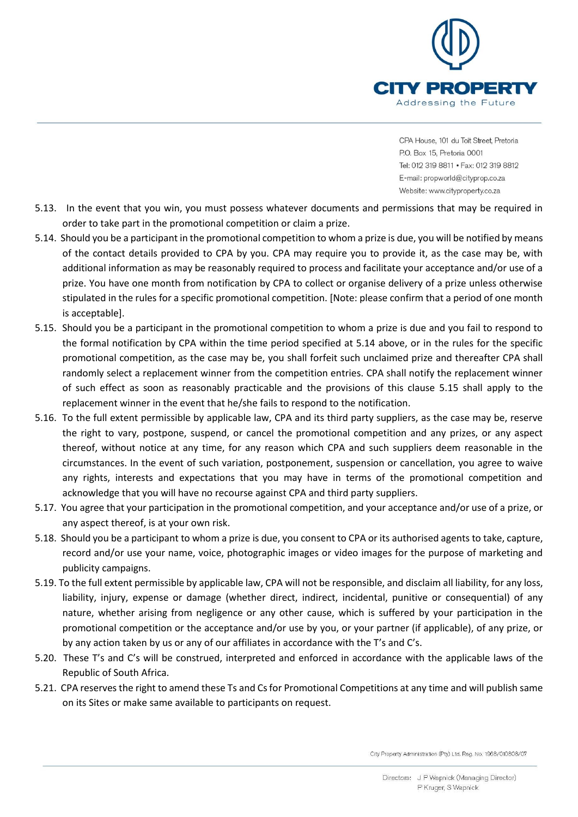

- 5.13. In the event that you win, you must possess whatever documents and permissions that may be required in order to take part in the promotional competition or claim a prize.
- 5.14. Should you be a participant in the promotional competition to whom a prize is due, you will be notified by means of the contact details provided to CPA by you. CPA may require you to provide it, as the case may be, with additional information as may be reasonably required to process and facilitate your acceptance and/or use of a prize. You have one month from notification by CPA to collect or organise delivery of a prize unless otherwise stipulated in the rules for a specific promotional competition. [Note: please confirm that a period of one month is acceptable].
- 5.15. Should you be a participant in the promotional competition to whom a prize is due and you fail to respond to the formal notification by CPA within the time period specified at 5.14 above, or in the rules for the specific promotional competition, as the case may be, you shall forfeit such unclaimed prize and thereafter CPA shall randomly select a replacement winner from the competition entries. CPA shall notify the replacement winner of such effect as soon as reasonably practicable and the provisions of this clause 5.15 shall apply to the replacement winner in the event that he/she fails to respond to the notification.
- 5.16. To the full extent permissible by applicable law, CPA and its third party suppliers, as the case may be, reserve the right to vary, postpone, suspend, or cancel the promotional competition and any prizes, or any aspect thereof, without notice at any time, for any reason which CPA and such suppliers deem reasonable in the circumstances. In the event of such variation, postponement, suspension or cancellation, you agree to waive any rights, interests and expectations that you may have in terms of the promotional competition and acknowledge that you will have no recourse against CPA and third party suppliers.
- 5.17. You agree that your participation in the promotional competition, and your acceptance and/or use of a prize, or any aspect thereof, is at your own risk.
- 5.18. Should you be a participant to whom a prize is due, you consent to CPA or its authorised agents to take, capture, record and/or use your name, voice, photographic images or video images for the purpose of marketing and publicity campaigns.
- 5.19. To the full extent permissible by applicable law, CPA will not be responsible, and disclaim all liability, for any loss, liability, injury, expense or damage (whether direct, indirect, incidental, punitive or consequential) of any nature, whether arising from negligence or any other cause, which is suffered by your participation in the promotional competition or the acceptance and/or use by you, or your partner (if applicable), of any prize, or by any action taken by us or any of our affiliates in accordance with the T's and C's.
- 5.20. These T's and C's will be construed, interpreted and enforced in accordance with the applicable laws of the Republic of South Africa.
- 5.21. CPA reserves the right to amend these Ts and Cs for Promotional Competitions at any time and will publish same on its Sites or make same available to participants on request.